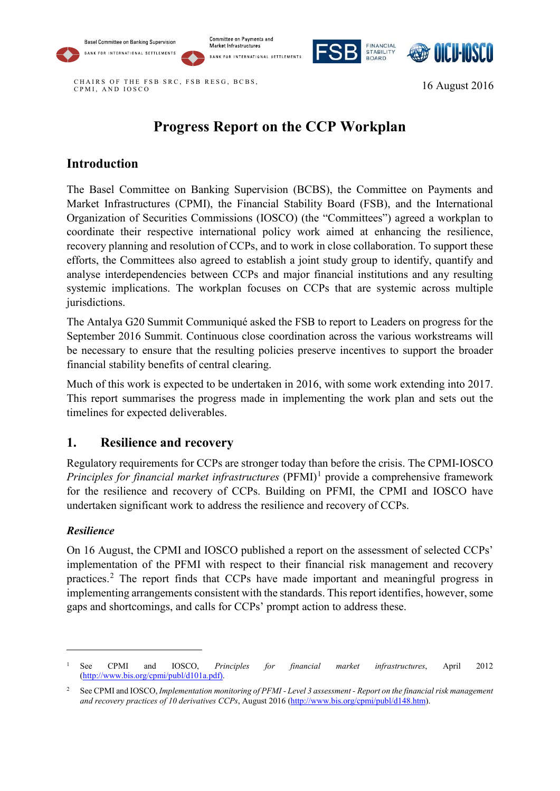







CHAIRS OF THE FSB SR C, FSB RESG, BCBS, CPMI, AND IOSCO 16 August 2016

# **Progress Report on the CCP Workplan**

## **Introduction**

The Basel Committee on Banking Supervision (BCBS), the Committee on Payments and Market Infrastructures (CPMI), the Financial Stability Board (FSB), and the International Organization of Securities Commissions (IOSCO) (the "Committees") agreed a workplan to coordinate their respective international policy work aimed at enhancing the resilience, recovery planning and resolution of CCPs, and to work in close collaboration. To support these efforts, the Committees also agreed to establish a joint study group to identify, quantify and analyse interdependencies between CCPs and major financial institutions and any resulting systemic implications. The workplan focuses on CCPs that are systemic across multiple jurisdictions.

The Antalya G20 Summit Communiqué asked the FSB to report to Leaders on progress for the September 2016 Summit. Continuous close coordination across the various workstreams will be necessary to ensure that the resulting policies preserve incentives to support the broader financial stability benefits of central clearing.

Much of this work is expected to be undertaken in 2016, with some work extending into 2017. This report summarises the progress made in implementing the work plan and sets out the timelines for expected deliverables.

## **1. Resilience and recovery**

Regulatory requirements for CCPs are stronger today than before the crisis. The CPMI-IOSCO *Principles for financial market infrastructures* (PFMI)<sup>[1](#page-0-0)</sup> provide a comprehensive framework for the resilience and recovery of CCPs. Building on PFMI, the CPMI and IOSCO have undertaken significant work to address the resilience and recovery of CCPs.

#### *Resilience*

-

On 16 August, the CPMI and IOSCO published a report on the assessment of selected CCPs' implementation of the PFMI with respect to their financial risk management and recovery practices.[2](#page-0-1) The report finds that CCPs have made important and meaningful progress in implementing arrangements consistent with the standards. This report identifies, however, some gaps and shortcomings, and calls for CCPs' prompt action to address these.

<span id="page-0-0"></span><sup>1</sup> See CPMI and IOSCO, *Principles for financial market infrastructures*, April 2012 [\(http://www.bis.org/cpmi/publ/d101a.pdf\)](http://www.bis.org/cpmi/publ/d101a.pdf).

<span id="page-0-1"></span><sup>2</sup> See CPMI and IOSCO, *Implementation monitoring of PFMI - Level 3 assessment - Report on the financial risk management and recovery practices of 10 derivatives CCPs*, August 2016 [\(http://www.bis.org/cpmi/publ/d148.htm\)](http://www.bis.org/cpmi/publ/d148.htm).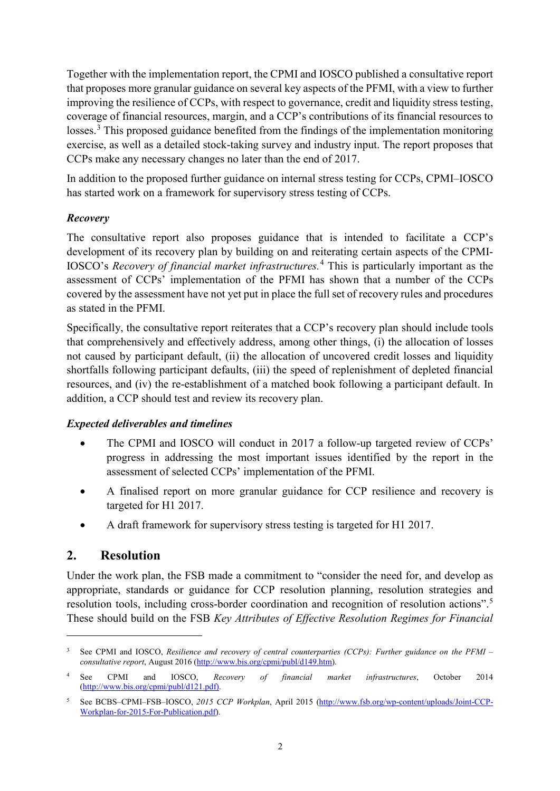Together with the implementation report, the CPMI and IOSCO published a consultative report that proposes more granular guidance on several key aspects of the PFMI, with a view to further improving the resilience of CCPs, with respect to governance, credit and liquidity stress testing, coverage of financial resources, margin, and a CCP's contributions of its financial resources to losses.<sup>[3](#page-1-0)</sup> This proposed guidance benefited from the findings of the implementation monitoring exercise, as well as a detailed stock-taking survey and industry input. The report proposes that CCPs make any necessary changes no later than the end of 2017.

In addition to the proposed further guidance on internal stress testing for CCPs, CPMI–IOSCO has started work on a framework for supervisory stress testing of CCPs.

#### *Recovery*

The consultative report also proposes guidance that is intended to facilitate a CCP's development of its recovery plan by building on and reiterating certain aspects of the CPMI-IOSCO's *Recovery of financial market infrastructures.*[4](#page-1-1) This is particularly important as the assessment of CCPs' implementation of the PFMI has shown that a number of the CCPs covered by the assessment have not yet put in place the full set of recovery rules and procedures as stated in the PFMI.

Specifically, the consultative report reiterates that a CCP's recovery plan should include tools that comprehensively and effectively address, among other things, (i) the allocation of losses not caused by participant default, (ii) the allocation of uncovered credit losses and liquidity shortfalls following participant defaults, (iii) the speed of replenishment of depleted financial resources, and (iv) the re-establishment of a matched book following a participant default. In addition, a CCP should test and review its recovery plan.

#### *Expected deliverables and timelines*

- The CPMI and IOSCO will conduct in 2017 a follow-up targeted review of CCPs' progress in addressing the most important issues identified by the report in the assessment of selected CCPs' implementation of the PFMI.
- A finalised report on more granular guidance for CCP resilience and recovery is targeted for H1 2017.
- A draft framework for supervisory stress testing is targeted for H1 2017.

## **2. Resolution**

-

Under the work plan, the FSB made a commitment to "consider the need for, and develop as appropriate, standards or guidance for CCP resolution planning, resolution strategies and resolution tools, including cross-border coordination and recognition of resolution actions".[5](#page-1-2) These should build on the FSB *Key Attributes of Effective Resolution Regimes for Financial* 

<span id="page-1-0"></span><sup>3</sup> See CPMI and IOSCO, *Resilience and recovery of central counterparties (CCPs): Further guidance on the PFMI – consultative report*, August 2016 [\(http://www.bis.org/cpmi/publ/d149.htm\)](http://www.bis.org/cpmi/publ/d149.htm).

<span id="page-1-1"></span><sup>4</sup> See CPMI and IOSCO, *Recovery of financial market infrastructures*, October 2014 [\(http://www.bis.org/cpmi/publ/d121.pdf\)](http://www.bis.org/cpmi/publ/d121.pdf).

<span id="page-1-2"></span><sup>5</sup> See BCBS–CPMI–FSB–IOSCO, *2015 CCP Workplan*, April 2015 [\(http://www.fsb.org/wp-content/uploads/Joint-CCP-](http://www.fsb.org/wp-content/uploads/Joint-CCP-Workplan-for-2015-For-Publication.pdf)[Workplan-for-2015-For-Publication.pdf\)](http://www.fsb.org/wp-content/uploads/Joint-CCP-Workplan-for-2015-For-Publication.pdf).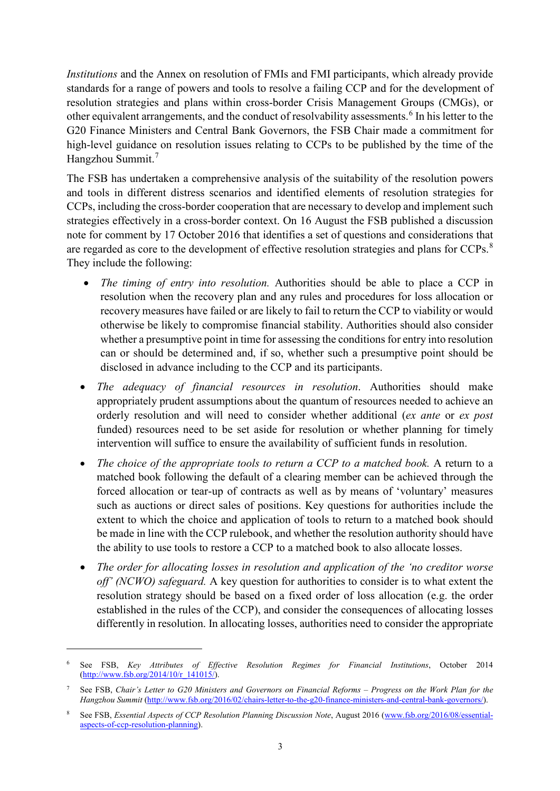*Institutions* and the Annex on resolution of FMIs and FMI participants, which already provide standards for a range of powers and tools to resolve a failing CCP and for the development of resolution strategies and plans within cross-border Crisis Management Groups (CMGs), or other equivalent arrangements, and the conduct of resolvability assessments. [6](#page-2-0) In his letter to the G20 Finance Ministers and Central Bank Governors, the FSB Chair made a commitment for high-level guidance on resolution issues relating to CCPs to be published by the time of the Hangzhou Summit.<sup>[7](#page-2-1)</sup>

The FSB has undertaken a comprehensive analysis of the suitability of the resolution powers and tools in different distress scenarios and identified elements of resolution strategies for CCPs, including the cross-border cooperation that are necessary to develop and implement such strategies effectively in a cross-border context. On 16 August the FSB published a discussion note for comment by 17 October 2016 that identifies a set of questions and considerations that are regarded as core to the development of effective resolution strategies and plans for CCPs.<sup>[8](#page-2-2)</sup> They include the following:

- *The timing of entry into resolution.* Authorities should be able to place a CCP in resolution when the recovery plan and any rules and procedures for loss allocation or recovery measures have failed or are likely to fail to return the CCP to viability or would otherwise be likely to compromise financial stability. Authorities should also consider whether a presumptive point in time for assessing the conditions for entry into resolution can or should be determined and, if so, whether such a presumptive point should be disclosed in advance including to the CCP and its participants.
- *The adequacy of financial resources in resolution*. Authorities should make appropriately prudent assumptions about the quantum of resources needed to achieve an orderly resolution and will need to consider whether additional (*ex ante* or *ex post* funded) resources need to be set aside for resolution or whether planning for timely intervention will suffice to ensure the availability of sufficient funds in resolution.
- *The choice of the appropriate tools to return a CCP to a matched book.* A return to a matched book following the default of a clearing member can be achieved through the forced allocation or tear-up of contracts as well as by means of 'voluntary' measures such as auctions or direct sales of positions. Key questions for authorities include the extent to which the choice and application of tools to return to a matched book should be made in line with the CCP rulebook, and whether the resolution authority should have the ability to use tools to restore a CCP to a matched book to also allocate losses.
- *The order for allocating losses in resolution and application of the 'no creditor worse off' (NCWO) safeguard.* A key question for authorities to consider is to what extent the resolution strategy should be based on a fixed order of loss allocation (e.g. the order established in the rules of the CCP), and consider the consequences of allocating losses differently in resolution. In allocating losses, authorities need to consider the appropriate

<u>.</u>

<span id="page-2-0"></span><sup>6</sup> See FSB, *Key Attributes of Effective Resolution Regimes for Financial Institutions*, October 2014  $(htto://www.fsb.org/2014/10/r\_141015/)$ .

<span id="page-2-1"></span><sup>7</sup> See FSB, *Chair's Letter to G20 Ministers and Governors on Financial Reforms – Progress on the Work Plan for the Hangzhou Summit* [\(http://www.fsb.org/2016/02/chairs-letter-to-the-g20-finance-ministers-and-central-bank-governors/\)](http://www.fsb.org/2016/02/chairs-letter-to-the-g20-finance-ministers-and-central-bank-governors/).

<span id="page-2-2"></span><sup>8</sup> See FSB, *Essential Aspects of CCP Resolution Planning Discussion Note*, August 2016 [\(www.fsb.org/2016/08/essential](http://www.fsb.org/2016/08/essential-aspects-of-ccp-resolution-planning)[aspects-of-ccp-resolution-planning\)](http://www.fsb.org/2016/08/essential-aspects-of-ccp-resolution-planning).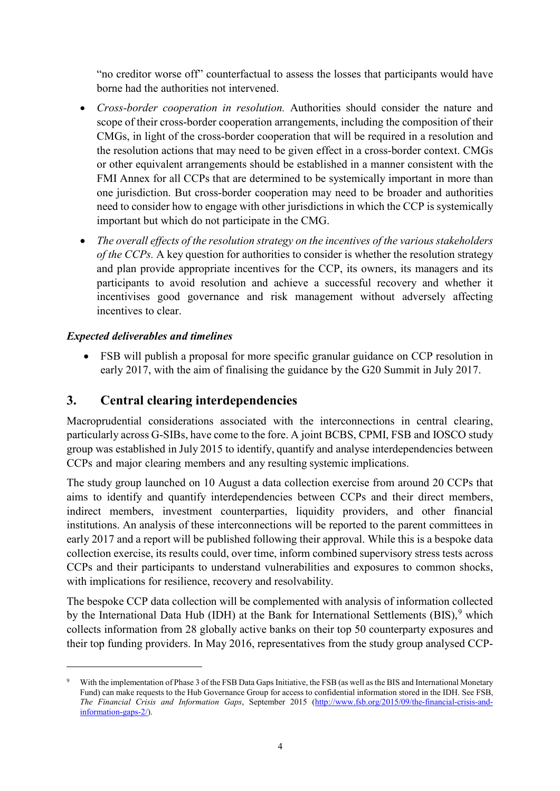"no creditor worse off" counterfactual to assess the losses that participants would have borne had the authorities not intervened.

- *Cross-border cooperation in resolution.* Authorities should consider the nature and scope of their cross-border cooperation arrangements, including the composition of their CMGs, in light of the cross-border cooperation that will be required in a resolution and the resolution actions that may need to be given effect in a cross-border context. CMGs or other equivalent arrangements should be established in a manner consistent with the FMI Annex for all CCPs that are determined to be systemically important in more than one jurisdiction. But cross-border cooperation may need to be broader and authorities need to consider how to engage with other jurisdictions in which the CCP is systemically important but which do not participate in the CMG.
- *The overall effects of the resolution strategy on the incentives of the various stakeholders of the CCPs.* A key question for authorities to consider is whether the resolution strategy and plan provide appropriate incentives for the CCP, its owners, its managers and its participants to avoid resolution and achieve a successful recovery and whether it incentivises good governance and risk management without adversely affecting incentives to clear.

### *Expected deliverables and timelines*

-

• FSB will publish a proposal for more specific granular guidance on CCP resolution in early 2017, with the aim of finalising the guidance by the G20 Summit in July 2017.

## **3. Central clearing interdependencies**

Macroprudential considerations associated with the interconnections in central clearing, particularly across G-SIBs, have come to the fore. A joint BCBS, CPMI, FSB and IOSCO study group was established in July 2015 to identify, quantify and analyse interdependencies between CCPs and major clearing members and any resulting systemic implications.

The study group launched on 10 August a data collection exercise from around 20 CCPs that aims to identify and quantify interdependencies between CCPs and their direct members, indirect members, investment counterparties, liquidity providers, and other financial institutions. An analysis of these interconnections will be reported to the parent committees in early 2017 and a report will be published following their approval. While this is a bespoke data collection exercise, its results could, over time, inform combined supervisory stress tests across CCPs and their participants to understand vulnerabilities and exposures to common shocks, with implications for resilience, recovery and resolvability.

The bespoke CCP data collection will be complemented with analysis of information collected by the International Data Hub (IDH) at the Bank for International Settlements (BIS),<sup>[9](#page-3-0)</sup> which collects information from 28 globally active banks on their top 50 counterparty exposures and their top funding providers. In May 2016, representatives from the study group analysed CCP-

<span id="page-3-0"></span>With the implementation of Phase 3 of the FSB Data Gaps Initiative, the FSB (as well as the BIS and International Monetary Fund) can make requests to the Hub Governance Group for access to confidential information stored in the IDH. See FSB, *The Financial Crisis and Information Gaps*, September 2015 [\(http://www.fsb.org/2015/09/the-financial-crisis-and](http://www.fsb.org/2015/09/the-financial-crisis-and-information-gaps-2/)[information-gaps-2/\)](http://www.fsb.org/2015/09/the-financial-crisis-and-information-gaps-2/).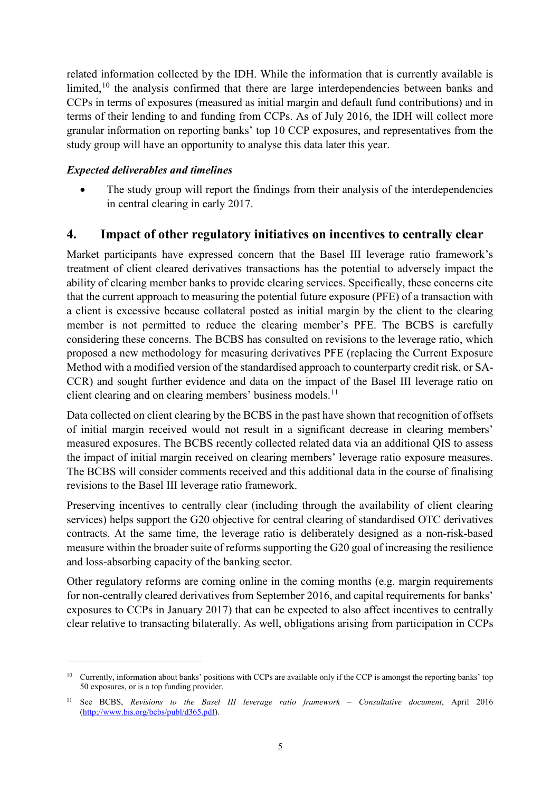related information collected by the IDH. While the information that is currently available is limited,<sup>[10](#page-4-0)</sup> the analysis confirmed that there are large interdependencies between banks and CCPs in terms of exposures (measured as initial margin and default fund contributions) and in terms of their lending to and funding from CCPs. As of July 2016, the IDH will collect more granular information on reporting banks' top 10 CCP exposures, and representatives from the study group will have an opportunity to analyse this data later this year.

#### *Expected deliverables and timelines*

-

The study group will report the findings from their analysis of the interdependencies in central clearing in early 2017.

## **4. Impact of other regulatory initiatives on incentives to centrally clear**

Market participants have expressed concern that the Basel III leverage ratio framework's treatment of client cleared derivatives transactions has the potential to adversely impact the ability of clearing member banks to provide clearing services. Specifically, these concerns cite that the current approach to measuring the potential future exposure (PFE) of a transaction with a client is excessive because collateral posted as initial margin by the client to the clearing member is not permitted to reduce the clearing member's PFE. The BCBS is carefully considering these concerns. The BCBS has consulted on revisions to the leverage ratio, which proposed a new methodology for measuring derivatives PFE (replacing the Current Exposure Method with a modified version of the standardised approach to counterparty credit risk, or SA-CCR) and sought further evidence and data on the impact of the Basel III leverage ratio on client clearing and on clearing members' business models.<sup>[11](#page-4-1)</sup>

Data collected on client clearing by the BCBS in the past have shown that recognition of offsets of initial margin received would not result in a significant decrease in clearing members' measured exposures. The BCBS recently collected related data via an additional QIS to assess the impact of initial margin received on clearing members' leverage ratio exposure measures. The BCBS will consider comments received and this additional data in the course of finalising revisions to the Basel III leverage ratio framework.

Preserving incentives to centrally clear (including through the availability of client clearing services) helps support the G20 objective for central clearing of standardised OTC derivatives contracts. At the same time, the leverage ratio is deliberately designed as a non-risk-based measure within the broader suite of reforms supporting the G20 goal of increasing the resilience and loss-absorbing capacity of the banking sector.

Other regulatory reforms are coming online in the coming months (e.g. margin requirements for non-centrally cleared derivatives from September 2016, and capital requirements for banks' exposures to CCPs in January 2017) that can be expected to also affect incentives to centrally clear relative to transacting bilaterally. As well, obligations arising from participation in CCPs

<span id="page-4-0"></span><sup>&</sup>lt;sup>10</sup> Currently, information about banks' positions with CCPs are available only if the CCP is amongst the reporting banks' top 50 exposures, or is a top funding provider.

<span id="page-4-1"></span><sup>11</sup> See BCBS, *Revisions to the Basel III leverage ratio framework – Consultative document*, April 2016 [\(http://www.bis.org/bcbs/publ/d365.pdf\)](http://www.bis.org/bcbs/publ/d365.pdf).